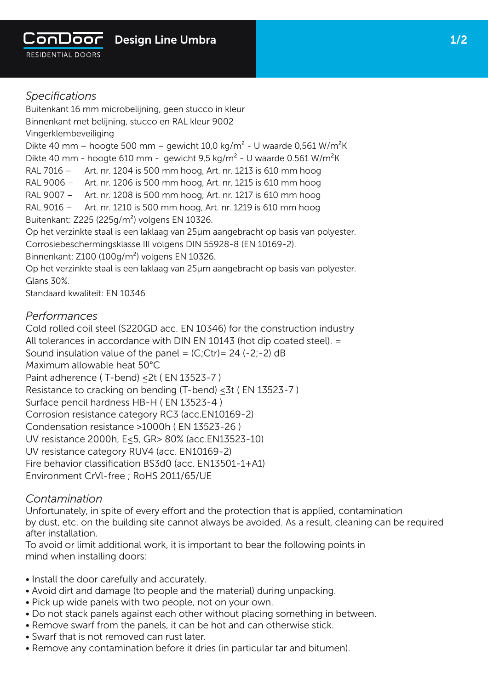

*Specifications* Buitenkant 16 mm microbelijning, geen stucco in kleur Binnenkant met belijning, stucco en RAL kleur 9002 Vingerklembeveiliging Dikte 40 mm – hoogte 500 mm – gewicht 10,0 kg/m<sup>2</sup> - U waarde 0,561 W/m<sup>2</sup>K Dikte 40 mm - hoogte 610 mm - gewicht 9,5 kg/m<sup>2</sup> - U waarde 0.561 W/m<sup>2</sup>K RAL 7016 – Art. nr. 1204 is 500 mm hoog, Art. nr. 1213 is 610 mm hoog RAL 9006 – Art. nr. 1206 is 500 mm hoog, Art. nr. 1215 is 610 mm hoog RAL 9007 – Art. nr. 1208 is 500 mm hoog, Art. nr. 1217 is 610 mm hoog RAL 9016 – Art. nr. 1210 is 500 mm hoog, Art. nr. 1219 is 610 mm hoog Buitenkant: Z225 (225g/m²) volgens EN 10326. Op het verzinkte staal is een laklaag van 25µm aangebracht op basis van polyester. Corrosiebeschermingsklasse III volgens DIN 55928-8 (EN 10169-2). Binnenkant: Z100 (100g/m²) volgens EN 10326. Op het verzinkte staal is een laklaag van 25µm aangebracht op basis van polyester. Glans 30%. Standaard kwaliteit: EN 10346

## *Performances*

Cold rolled coil steel (S220GD acc. EN 10346) for the construction industry All tolerances in accordance with DIN EN 10143 (hot dip coated steel). = Sound insulation value of the panel =  $(C;Ctr)$  = 24 (-2;-2) dB Maximum allowable heat 50°C Paint adherence ( T-bend) ≤2t ( EN 13523-7 ) Resistance to cracking on bending (T-bend) < 3t (EN 13523-7) Surface pencil hardness HB-H ( EN 13523-4 ) Corrosion resistance category RC3 (acc.EN10169-2) Condensation resistance >1000h ( EN 13523-26 ) UV resistance 2000h, E≤5, GR> 80% (acc.EN13523-10) UV resistance category RUV4 (acc. EN10169-2) Fire behavior classification BS3d0 (acc. EN13501-1+A1) Environment CrVl-free ; RoHS 2011/65/UE

## *Contamination*

Unfortunately, in spite of every effort and the protection that is applied, contamination by dust, etc. on the building site cannot always be avoided. As a result, cleaning can be required after installation.

To avoid or limit additional work, it is important to bear the following points in mind when installing doors:

- Install the door carefully and accurately.
- Avoid dirt and damage (to people and the material) during unpacking.
- Pick up wide panels with two people, not on your own.
- Do not stack panels against each other without placing something in between.
- Remove swarf from the panels, it can be hot and can otherwise stick.
- Swarf that is not removed can rust later.
- Remove any contamination before it dries (in particular tar and bitumen).